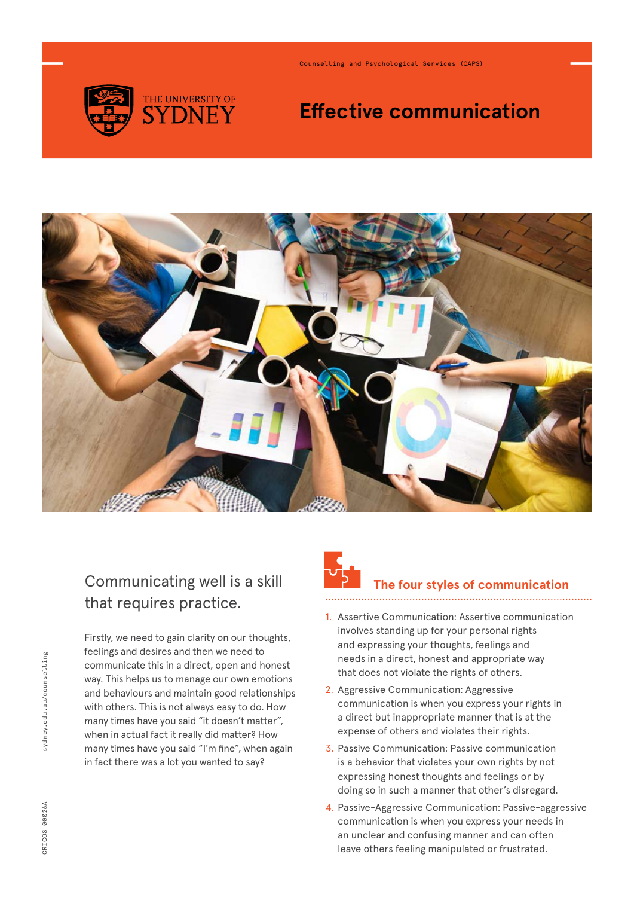

Counselling and Psychological Services (CAPS)

# **Effective communication**



### Communicating well is a skill that requires practice.

Firstly, we need to gain clarity on our thoughts, feelings and desires and then we need to communicate this in a direct, open and honest way. This helps us to manage our own emotions and behaviours and maintain good relationships with others. This is not always easy to do. How many times have you said "it doesn't matter", when in actual fact it really did matter? How many times have you said "I'm fine", when again in fact there was a lot you wanted to say?



#### **The four styles of communication**

- 1. Assertive Communication: Assertive communication involves standing up for your personal rights and expressing your thoughts, feelings and needs in a direct, honest and appropriate way that does not violate the rights of others.
- 2. Aggressive Communication: Aggressive communication is when you express your rights in a direct but inappropriate manner that is at the expense of others and violates their rights.
- 3. Passive Communication: Passive communication is a behavior that violates your own rights by not expressing honest thoughts and feelings or by doing so in such a manner that other's disregard.
- 4. Passive-Aggressive Communication: Passive-aggressive communication is when you express your needs in an unclear and confusing manner and can often leave others feeling manipulated or frustrated.